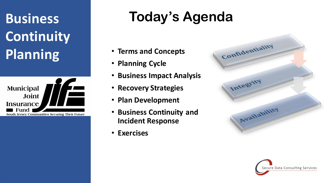# **Business Continuity Planning**



## **Today's Agenda**

- **Terms and Concepts**
- **Planning Cycle**
- **Business Impact Analysis**
- **Recovery Strategies**
- **Plan Development**
- **Business Continuity and Incident Response**
- **Exercises**



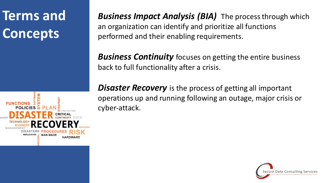# **Terms and Concepts**



*Business Impact Analysis (BIA)* The process through which an organization can identify and prioritize all functions performed and their enabling requirements.

*Business Continuity* focuses on getting the entire business back to full functionality after a crisis.

**Disaster Recovery** is the process of getting all important operations up and running following an outage, major crisis or cyber-attack.

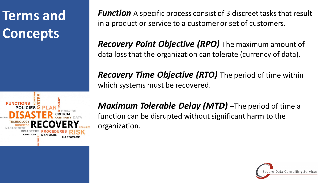### **Concepts Concepts Terms and Concepts**

*Function* A specific process consist of 3 discreet tasks that result in a product or service to a customer or set of customers.

*Recovery Point Objective (RPO)* The maximum amount of data loss that the organization can tolerate (currency of data).

*Recovery Time Objective (RTO)* The period of time within which systems must be recovered.



*Maximum Tolerable Delay (MTD)* -The period of time a function can be disrupted without significant harm to the organization.

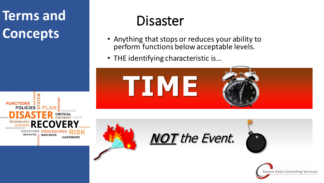### **Concepts Concepts Terms and Concepts**



## Disaster

- Anything that stops or reduces your ability to perform functions below acceptable levels.
- THE identifying characteristic is…







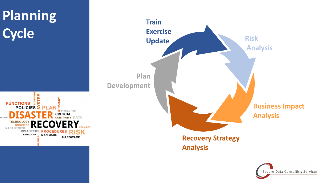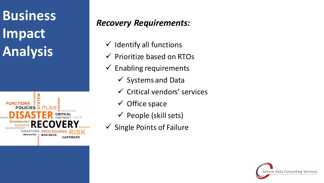# **Business Impact Analysis**



#### *Recovery Requirements:*

- $\checkmark$  Identify all functions
- $\checkmark$  Prioritize based on RTOs
- $\checkmark$  Enabling requirements
	- $\checkmark$  Systems and Data
	- $\checkmark$  Critical vendors' services
	- $\checkmark$  Office space
	- $\checkmark$  People (skill sets)
- $\checkmark$  Single Points of Failure

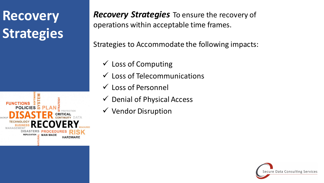### **Strategies Strategies Recovery Strategies**



**Recovery Strategies** To ensure the recovery of operations within acceptable time frames.

Strategies to Accommodate the following impacts:

- $\checkmark$  Loss of Computing
- $\checkmark$  Loss of Telecommunications
- Loss of Personnel
- $\checkmark$  Denial of Physical Access
- $\checkmark$  Vendor Disruption

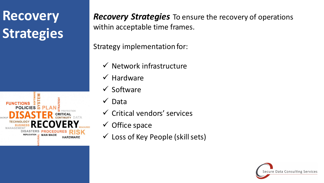### **Strategies Strategies Recovery Strategies**



*Recovery Strategies* To ensure the recovery of operations within acceptable time frames.

Strategy implementation for:

- $\checkmark$  Network infrastructure
- $\checkmark$  Hardware
- $\checkmark$  Software
- $\checkmark$  Data
- $\checkmark$  Critical vendors' services
- $\checkmark$  Office space
- $\checkmark$  Loss of Key People (skill sets)

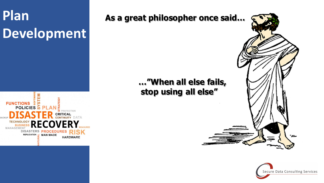# **Plan Development**



#### **As a great philosopher once said…**

#### **…"When all else fails, stop using all else"**



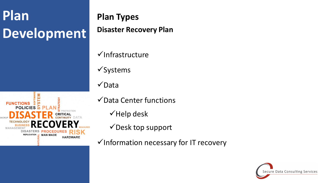### **Deve Development Plan Development**

**FUNCTIONS POLICIES TICAL** DISASTERS PROCED REPLICATION - MAN MADE **HARDWARE** 

#### **Plan Types**

**Disaster Recovery Plan**

 $\checkmark$ Infrastructure

 $\checkmark$ Systems

 $\checkmark$ Data

 $\checkmark$  Data Center functions

 $\checkmark$  Help desk

 $\checkmark$  Desk top support

 $\checkmark$  Information necessary for IT recovery

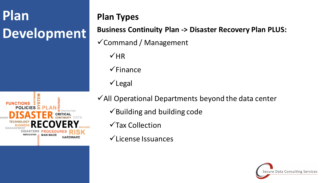# **Plan Development**



#### **Plan Types**

#### **Business Continuity Plan -> Disaster Recovery Plan PLUS:**

- $\checkmark$  Command / Management
	- $VHR$
	- $\checkmark$ Finance
	- $\checkmark$  Legal
- $\checkmark$  All Operational Departments beyond the data center
	- $\checkmark$  Building and building code
	- $\sqrt{\ }$ Tax Collection
	- $\checkmark$  License Issuances

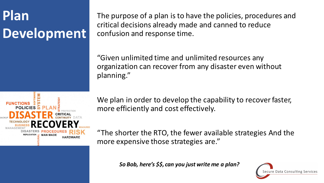### **Deve Development Plan Development**



The purpose of a plan is to have the policies, procedures and critical decisions already made and canned to reduce confusion and response time.

"Given unlimited time and unlimited resources any organization can recover from any disaster even without planning."

We plan in order to develop the capability to recover faster, more efficiently and cost effectively.

"The shorter the RTO, the fewer available strategies And the more expensive those strategies are."

*So Bob, here's \$\$, can you just write me a plan?*

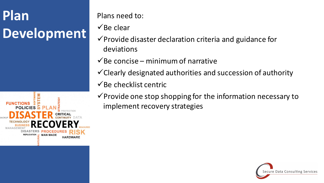# **Plan Development**



Plans need to:

 $\checkmark$  Be clear

- $\checkmark$  Provide disaster declaration criteria and guidance for deviations
- $\checkmark$ Be concise minimum of narrative
- $\checkmark$  Clearly designated authorities and succession of authority
- $\checkmark$  Be checklist centric
- $\checkmark$  Provide one stop shopping for the information necessary to implement recovery strategies

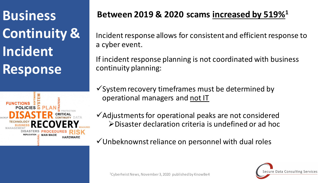**Continuity & Incident Response**



#### **Between 2019 & 2020 scams increased by 519%1 Business**

Incident response allows for consistent and efficient response to a cyber event.

If incident response planning is not coordinated with business continuity planning:

 $\checkmark$  System recovery timeframes must be determined by operational managers and not IT

Adjustments for operational peaks are not considered Disaster declaration criteria is undefined or ad hoc

 $\checkmark$  Unbeknownst reliance on personnel with dual roles

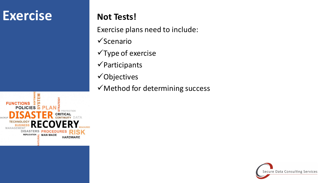### **Exercise**

#### **Not Tests!**

Exercise plans need to include:

- $\checkmark$ Scenario
- $\checkmark$  Type of exercise
- $\checkmark$  Participants
- Objectives
- $\checkmark$  Method for determining success



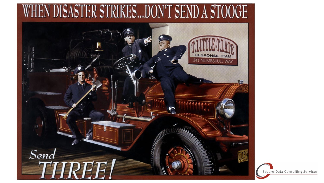

Secure Data Consulting Services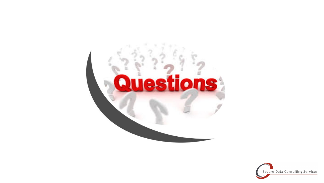